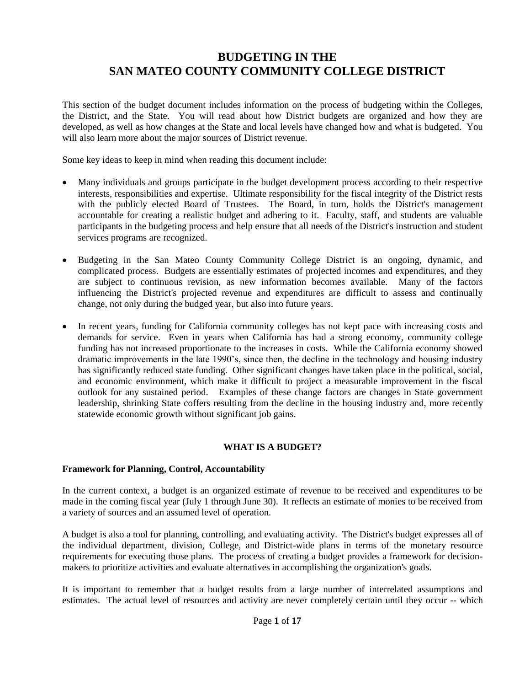# **BUDGETING IN THE SAN MATEO COUNTY COMMUNITY COLLEGE DISTRICT**

This section of the budget document includes information on the process of budgeting within the Colleges, the District, and the State. You will read about how District budgets are organized and how they are developed, as well as how changes at the State and local levels have changed how and what is budgeted. You will also learn more about the major sources of District revenue.

Some key ideas to keep in mind when reading this document include:

- Many individuals and groups participate in the budget development process according to their respective interests, responsibilities and expertise. Ultimate responsibility for the fiscal integrity of the District rests with the publicly elected Board of Trustees. The Board, in turn, holds the District's management accountable for creating a realistic budget and adhering to it. Faculty, staff, and students are valuable participants in the budgeting process and help ensure that all needs of the District's instruction and student services programs are recognized.
- Budgeting in the San Mateo County Community College District is an ongoing, dynamic, and complicated process. Budgets are essentially estimates of projected incomes and expenditures, and they are subject to continuous revision, as new information becomes available. Many of the factors influencing the District's projected revenue and expenditures are difficult to assess and continually change, not only during the budged year, but also into future years.
- In recent years, funding for California community colleges has not kept pace with increasing costs and demands for service. Even in years when California has had a strong economy, community college funding has not increased proportionate to the increases in costs. While the California economy showed dramatic improvements in the late 1990's, since then, the decline in the technology and housing industry has significantly reduced state funding. Other significant changes have taken place in the political, social, and economic environment, which make it difficult to project a measurable improvement in the fiscal outlook for any sustained period. Examples of these change factors are changes in State government leadership, shrinking State coffers resulting from the decline in the housing industry and, more recently statewide economic growth without significant job gains.

# **WHAT IS A BUDGET?**

### **Framework for Planning, Control, Accountability**

In the current context, a budget is an organized estimate of revenue to be received and expenditures to be made in the coming fiscal year (July 1 through June 30). It reflects an estimate of monies to be received from a variety of sources and an assumed level of operation.

A budget is also a tool for planning, controlling, and evaluating activity. The District's budget expresses all of the individual department, division, College, and District-wide plans in terms of the monetary resource requirements for executing those plans. The process of creating a budget provides a framework for decisionmakers to prioritize activities and evaluate alternatives in accomplishing the organization's goals.

It is important to remember that a budget results from a large number of interrelated assumptions and estimates. The actual level of resources and activity are never completely certain until they occur -- which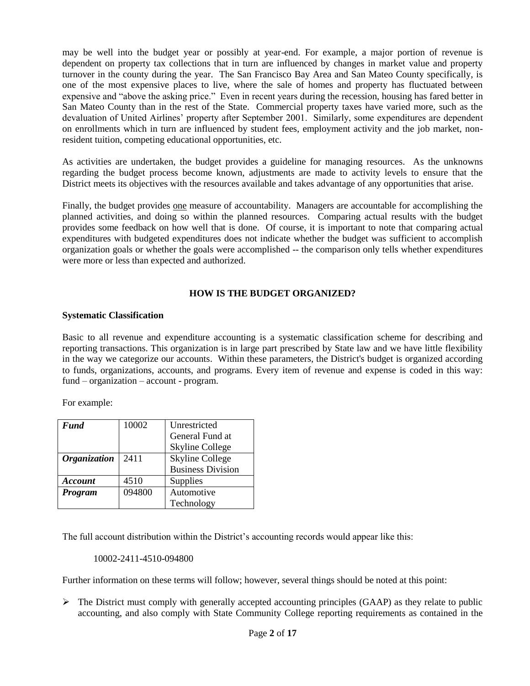may be well into the budget year or possibly at year-end. For example, a major portion of revenue is dependent on property tax collections that in turn are influenced by changes in market value and property turnover in the county during the year. The San Francisco Bay Area and San Mateo County specifically, is one of the most expensive places to live, where the sale of homes and property has fluctuated between expensive and "above the asking price." Even in recent years during the recession, housing has fared better in San Mateo County than in the rest of the State. Commercial property taxes have varied more, such as the devaluation of United Airlines' property after September 2001. Similarly, some expenditures are dependent on enrollments which in turn are influenced by student fees, employment activity and the job market, nonresident tuition, competing educational opportunities, etc.

As activities are undertaken, the budget provides a guideline for managing resources. As the unknowns regarding the budget process become known, adjustments are made to activity levels to ensure that the District meets its objectives with the resources available and takes advantage of any opportunities that arise.

Finally, the budget provides one measure of accountability. Managers are accountable for accomplishing the planned activities, and doing so within the planned resources. Comparing actual results with the budget provides some feedback on how well that is done. Of course, it is important to note that comparing actual expenditures with budgeted expenditures does not indicate whether the budget was sufficient to accomplish organization goals or whether the goals were accomplished -- the comparison only tells whether expenditures were more or less than expected and authorized.

### **HOW IS THE BUDGET ORGANIZED?**

### **Systematic Classification**

Basic to all revenue and expenditure accounting is a systematic classification scheme for describing and reporting transactions. This organization is in large part prescribed by State law and we have little flexibility in the way we categorize our accounts. Within these parameters, the District's budget is organized according to funds, organizations, accounts, and programs. Every item of revenue and expense is coded in this way: fund – organization – account - program.

For example:

| Fund                | 10002  | Unrestricted             |  |
|---------------------|--------|--------------------------|--|
|                     |        | General Fund at          |  |
|                     |        | <b>Skyline College</b>   |  |
| <b>Organization</b> | 2411   | <b>Skyline College</b>   |  |
|                     |        | <b>Business Division</b> |  |
| <b>Account</b>      | 4510   | Supplies                 |  |
| Program             | 094800 | Automotive               |  |
|                     |        | Technology               |  |

The full account distribution within the District's accounting records would appear like this:

10002-2411-4510-094800

Further information on these terms will follow; however, several things should be noted at this point:

 $\triangleright$  The District must comply with generally accepted accounting principles (GAAP) as they relate to public accounting, and also comply with State Community College reporting requirements as contained in the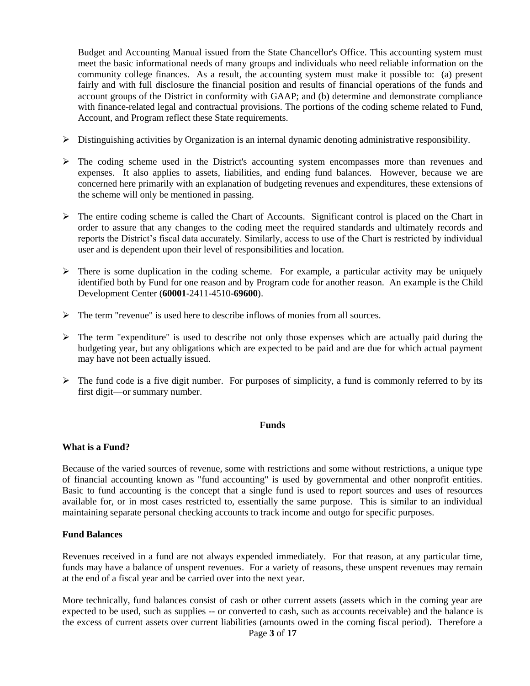Budget and Accounting Manual issued from the State Chancellor's Office. This accounting system must meet the basic informational needs of many groups and individuals who need reliable information on the community college finances. As a result, the accounting system must make it possible to: (a) present fairly and with full disclosure the financial position and results of financial operations of the funds and account groups of the District in conformity with GAAP; and (b) determine and demonstrate compliance with finance-related legal and contractual provisions. The portions of the coding scheme related to Fund, Account, and Program reflect these State requirements.

- $\triangleright$  Distinguishing activities by Organization is an internal dynamic denoting administrative responsibility.
- $\triangleright$  The coding scheme used in the District's accounting system encompasses more than revenues and expenses. It also applies to assets, liabilities, and ending fund balances. However, because we are concerned here primarily with an explanation of budgeting revenues and expenditures, these extensions of the scheme will only be mentioned in passing.
- $\triangleright$  The entire coding scheme is called the Chart of Accounts. Significant control is placed on the Chart in order to assure that any changes to the coding meet the required standards and ultimately records and reports the District's fiscal data accurately. Similarly, access to use of the Chart is restricted by individual user and is dependent upon their level of responsibilities and location.
- $\triangleright$  There is some duplication in the coding scheme. For example, a particular activity may be uniquely identified both by Fund for one reason and by Program code for another reason. An example is the Child Development Center (**60001**-2411-4510-**69600**).
- $\triangleright$  The term "revenue" is used here to describe inflows of monies from all sources.
- $\triangleright$  The term "expenditure" is used to describe not only those expenses which are actually paid during the budgeting year, but any obligations which are expected to be paid and are due for which actual payment may have not been actually issued.
- $\triangleright$  The fund code is a five digit number. For purposes of simplicity, a fund is commonly referred to by its first digit—or summary number.

### **Funds**

### **What is a Fund?**

Because of the varied sources of revenue, some with restrictions and some without restrictions, a unique type of financial accounting known as "fund accounting" is used by governmental and other nonprofit entities. Basic to fund accounting is the concept that a single fund is used to report sources and uses of resources available for, or in most cases restricted to, essentially the same purpose. This is similar to an individual maintaining separate personal checking accounts to track income and outgo for specific purposes.

### **Fund Balances**

Revenues received in a fund are not always expended immediately. For that reason, at any particular time, funds may have a balance of unspent revenues. For a variety of reasons, these unspent revenues may remain at the end of a fiscal year and be carried over into the next year.

More technically, fund balances consist of cash or other current assets (assets which in the coming year are expected to be used, such as supplies -- or converted to cash, such as accounts receivable) and the balance is the excess of current assets over current liabilities (amounts owed in the coming fiscal period). Therefore a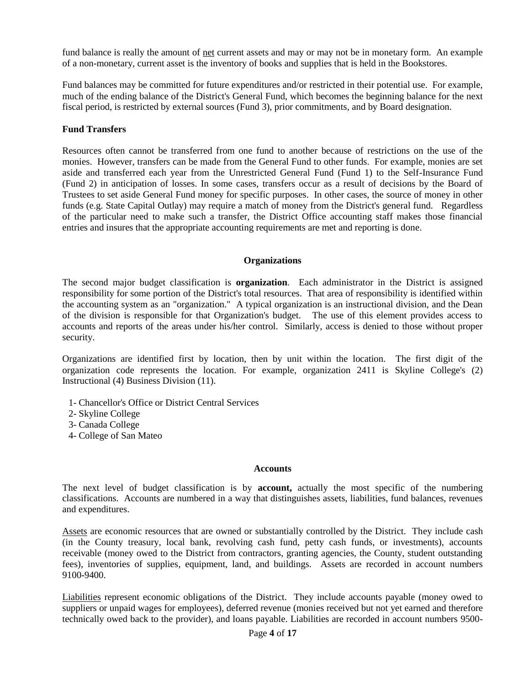fund balance is really the amount of net current assets and may or may not be in monetary form. An example of a non-monetary, current asset is the inventory of books and supplies that is held in the Bookstores.

Fund balances may be committed for future expenditures and/or restricted in their potential use. For example, much of the ending balance of the District's General Fund, which becomes the beginning balance for the next fiscal period, is restricted by external sources (Fund 3), prior commitments, and by Board designation.

### **Fund Transfers**

Resources often cannot be transferred from one fund to another because of restrictions on the use of the monies. However, transfers can be made from the General Fund to other funds. For example, monies are set aside and transferred each year from the Unrestricted General Fund (Fund 1) to the Self-Insurance Fund (Fund 2) in anticipation of losses. In some cases, transfers occur as a result of decisions by the Board of Trustees to set aside General Fund money for specific purposes. In other cases, the source of money in other funds (e.g. State Capital Outlay) may require a match of money from the District's general fund. Regardless of the particular need to make such a transfer, the District Office accounting staff makes those financial entries and insures that the appropriate accounting requirements are met and reporting is done.

#### **Organizations**

The second major budget classification is **organization**. Each administrator in the District is assigned responsibility for some portion of the District's total resources. That area of responsibility is identified within the accounting system as an "organization." A typical organization is an instructional division, and the Dean of the division is responsible for that Organization's budget. The use of this element provides access to accounts and reports of the areas under his/her control. Similarly, access is denied to those without proper security.

Organizations are identified first by location, then by unit within the location. The first digit of the organization code represents the location. For example, organization 2411 is Skyline College's (2) Instructional (4) Business Division (11).

- 1- Chancellor's Office or District Central Services
- 2- Skyline College
- 3- Canada College
- 4- College of San Mateo

#### **Accounts**

The next level of budget classification is by **account,** actually the most specific of the numbering classifications. Accounts are numbered in a way that distinguishes assets, liabilities, fund balances, revenues and expenditures.

Assets are economic resources that are owned or substantially controlled by the District. They include cash (in the County treasury, local bank, revolving cash fund, petty cash funds, or investments), accounts receivable (money owed to the District from contractors, granting agencies, the County, student outstanding fees), inventories of supplies, equipment, land, and buildings. Assets are recorded in account numbers 9100-9400.

Liabilities represent economic obligations of the District. They include accounts payable (money owed to suppliers or unpaid wages for employees), deferred revenue (monies received but not yet earned and therefore technically owed back to the provider), and loans payable. Liabilities are recorded in account numbers 9500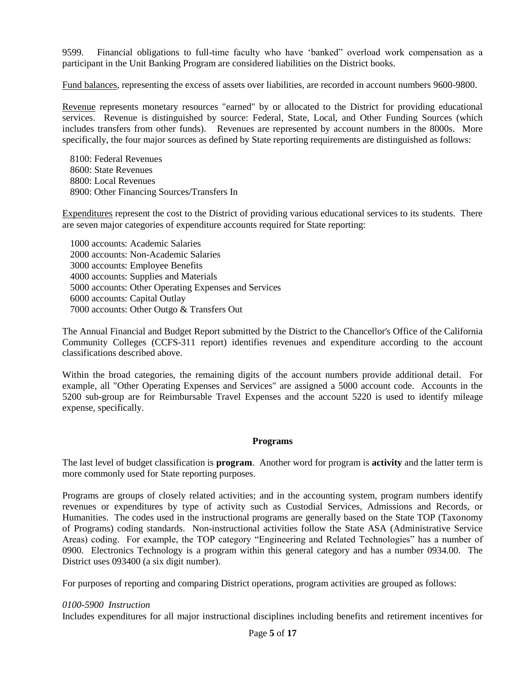9599. Financial obligations to full-time faculty who have 'banked" overload work compensation as a participant in the Unit Banking Program are considered liabilities on the District books.

Fund balances, representing the excess of assets over liabilities, are recorded in account numbers 9600-9800.

Revenue represents monetary resources "earned" by or allocated to the District for providing educational services. Revenue is distinguished by source: Federal, State, Local, and Other Funding Sources (which includes transfers from other funds). Revenues are represented by account numbers in the 8000s. More specifically, the four major sources as defined by State reporting requirements are distinguished as follows:

8100: Federal Revenues 8600: State Revenues 8800: Local Revenues 8900: Other Financing Sources/Transfers In

Expenditures represent the cost to the District of providing various educational services to its students. There are seven major categories of expenditure accounts required for State reporting:

1000 accounts: Academic Salaries 2000 accounts: Non-Academic Salaries 3000 accounts: Employee Benefits 4000 accounts: Supplies and Materials 5000 accounts: Other Operating Expenses and Services 6000 accounts: Capital Outlay 7000 accounts: Other Outgo & Transfers Out

The Annual Financial and Budget Report submitted by the District to the Chancellor's Office of the California Community Colleges (CCFS-311 report) identifies revenues and expenditure according to the account classifications described above.

Within the broad categories, the remaining digits of the account numbers provide additional detail. For example, all "Other Operating Expenses and Services" are assigned a 5000 account code. Accounts in the 5200 sub-group are for Reimbursable Travel Expenses and the account 5220 is used to identify mileage expense, specifically.

### **Programs**

The last level of budget classification is **program**. Another word for program is **activity** and the latter term is more commonly used for State reporting purposes.

Programs are groups of closely related activities; and in the accounting system, program numbers identify revenues or expenditures by type of activity such as Custodial Services, Admissions and Records, or Humanities. The codes used in the instructional programs are generally based on the State TOP (Taxonomy of Programs) coding standards. Non-instructional activities follow the State ASA (Administrative Service Areas) coding. For example, the TOP category "Engineering and Related Technologies" has a number of 0900. Electronics Technology is a program within this general category and has a number 0934.00. The District uses 093400 (a six digit number).

For purposes of reporting and comparing District operations, program activities are grouped as follows:

#### *0100-5900 Instruction*

Includes expenditures for all major instructional disciplines including benefits and retirement incentives for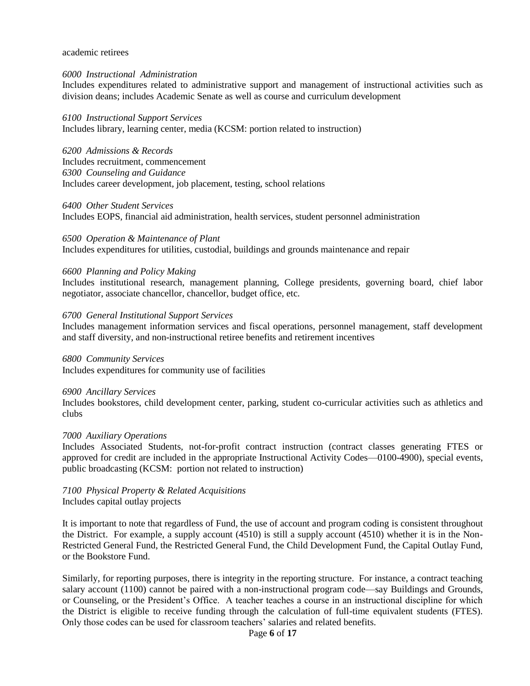#### academic retirees

#### *6000 Instructional Administration*

Includes expenditures related to administrative support and management of instructional activities such as division deans; includes Academic Senate as well as course and curriculum development

#### *6100 Instructional Support Services*

Includes library, learning center, media (KCSM: portion related to instruction)

*6200 Admissions & Records* Includes recruitment, commencement *6300 Counseling and Guidance* Includes career development, job placement, testing, school relations

#### *6400 Other Student Services*

Includes EOPS, financial aid administration, health services, student personnel administration

# *6500 Operation & Maintenance of Plant*

Includes expenditures for utilities, custodial, buildings and grounds maintenance and repair

#### *6600 Planning and Policy Making*

Includes institutional research, management planning, College presidents, governing board, chief labor negotiator, associate chancellor, chancellor, budget office, etc.

#### *6700 General Institutional Support Services*

Includes management information services and fiscal operations, personnel management, staff development and staff diversity, and non-instructional retiree benefits and retirement incentives

*6800 Community Services* Includes expenditures for community use of facilities

*6900 Ancillary Services* Includes bookstores, child development center, parking, student co-curricular activities such as athletics and clubs

#### *7000 Auxiliary Operations*

Includes Associated Students, not-for-profit contract instruction (contract classes generating FTES or approved for credit are included in the appropriate Instructional Activity Codes—0100-4900), special events, public broadcasting (KCSM: portion not related to instruction)

*7100 Physical Property & Related Acquisitions* Includes capital outlay projects

It is important to note that regardless of Fund, the use of account and program coding is consistent throughout the District. For example, a supply account (4510) is still a supply account (4510) whether it is in the Non-Restricted General Fund, the Restricted General Fund, the Child Development Fund, the Capital Outlay Fund, or the Bookstore Fund.

Similarly, for reporting purposes, there is integrity in the reporting structure. For instance, a contract teaching salary account (1100) cannot be paired with a non-instructional program code—say Buildings and Grounds, or Counseling, or the President's Office. A teacher teaches a course in an instructional discipline for which the District is eligible to receive funding through the calculation of full-time equivalent students (FTES). Only those codes can be used for classroom teachers' salaries and related benefits.

### Page **6** of **17**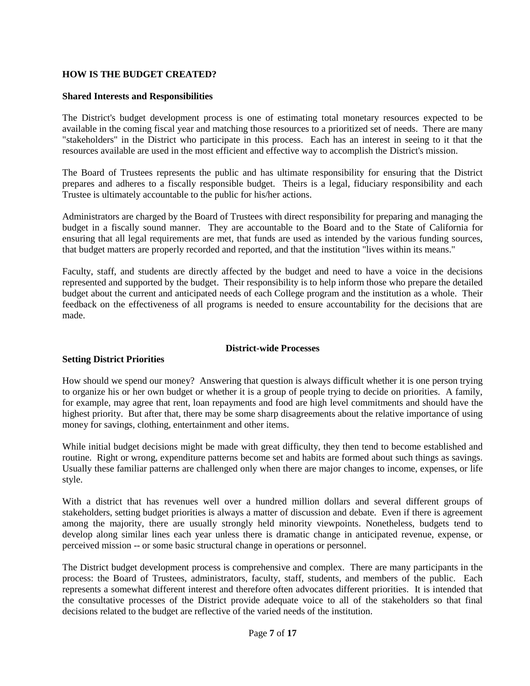# **HOW IS THE BUDGET CREATED?**

### **Shared Interests and Responsibilities**

The District's budget development process is one of estimating total monetary resources expected to be available in the coming fiscal year and matching those resources to a prioritized set of needs. There are many "stakeholders" in the District who participate in this process. Each has an interest in seeing to it that the resources available are used in the most efficient and effective way to accomplish the District's mission.

The Board of Trustees represents the public and has ultimate responsibility for ensuring that the District prepares and adheres to a fiscally responsible budget. Theirs is a legal, fiduciary responsibility and each Trustee is ultimately accountable to the public for his/her actions.

Administrators are charged by the Board of Trustees with direct responsibility for preparing and managing the budget in a fiscally sound manner. They are accountable to the Board and to the State of California for ensuring that all legal requirements are met, that funds are used as intended by the various funding sources, that budget matters are properly recorded and reported, and that the institution "lives within its means."

Faculty, staff, and students are directly affected by the budget and need to have a voice in the decisions represented and supported by the budget. Their responsibility is to help inform those who prepare the detailed budget about the current and anticipated needs of each College program and the institution as a whole. Their feedback on the effectiveness of all programs is needed to ensure accountability for the decisions that are made.

# **Setting District Priorities**

### **District-wide Processes**

How should we spend our money? Answering that question is always difficult whether it is one person trying to organize his or her own budget or whether it is a group of people trying to decide on priorities. A family, for example, may agree that rent, loan repayments and food are high level commitments and should have the highest priority. But after that, there may be some sharp disagreements about the relative importance of using money for savings, clothing, entertainment and other items.

While initial budget decisions might be made with great difficulty, they then tend to become established and routine. Right or wrong, expenditure patterns become set and habits are formed about such things as savings. Usually these familiar patterns are challenged only when there are major changes to income, expenses, or life style.

With a district that has revenues well over a hundred million dollars and several different groups of stakeholders, setting budget priorities is always a matter of discussion and debate. Even if there is agreement among the majority, there are usually strongly held minority viewpoints. Nonetheless, budgets tend to develop along similar lines each year unless there is dramatic change in anticipated revenue, expense, or perceived mission -- or some basic structural change in operations or personnel.

The District budget development process is comprehensive and complex. There are many participants in the process: the Board of Trustees, administrators, faculty, staff, students, and members of the public. Each represents a somewhat different interest and therefore often advocates different priorities. It is intended that the consultative processes of the District provide adequate voice to all of the stakeholders so that final decisions related to the budget are reflective of the varied needs of the institution.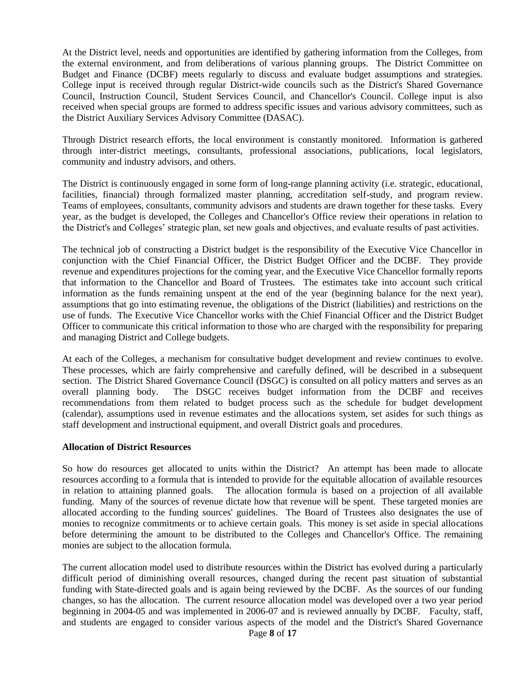At the District level, needs and opportunities are identified by gathering information from the Colleges, from the external environment, and from deliberations of various planning groups. The District Committee on Budget and Finance (DCBF) meets regularly to discuss and evaluate budget assumptions and strategies. College input is received through regular District-wide councils such as the District's Shared Governance Council, Instruction Council, Student Services Council, and Chancellor's Council. College input is also received when special groups are formed to address specific issues and various advisory committees, such as the District Auxiliary Services Advisory Committee (DASAC).

Through District research efforts, the local environment is constantly monitored. Information is gathered through inter-district meetings, consultants, professional associations, publications, local legislators, community and industry advisors, and others.

The District is continuously engaged in some form of long-range planning activity (i.e. strategic, educational, facilities, financial) through formalized master planning, accreditation self-study, and program review. Teams of employees, consultants, community advisors and students are drawn together for these tasks. Every year, as the budget is developed, the Colleges and Chancellor's Office review their operations in relation to the District's and Colleges' strategic plan, set new goals and objectives, and evaluate results of past activities.

The technical job of constructing a District budget is the responsibility of the Executive Vice Chancellor in conjunction with the Chief Financial Officer, the District Budget Officer and the DCBF. They provide revenue and expenditures projections for the coming year, and the Executive Vice Chancellor formally reports that information to the Chancellor and Board of Trustees. The estimates take into account such critical information as the funds remaining unspent at the end of the year (beginning balance for the next year), assumptions that go into estimating revenue, the obligations of the District (liabilities) and restrictions on the use of funds. The Executive Vice Chancellor works with the Chief Financial Officer and the District Budget Officer to communicate this critical information to those who are charged with the responsibility for preparing and managing District and College budgets.

At each of the Colleges, a mechanism for consultative budget development and review continues to evolve. These processes, which are fairly comprehensive and carefully defined, will be described in a subsequent section. The District Shared Governance Council (DSGC) is consulted on all policy matters and serves as an overall planning body. The DSGC receives budget information from the DCBF and receives recommendations from them related to budget process such as the schedule for budget development (calendar), assumptions used in revenue estimates and the allocations system, set asides for such things as staff development and instructional equipment, and overall District goals and procedures.

### **Allocation of District Resources**

So how do resources get allocated to units within the District? An attempt has been made to allocate resources according to a formula that is intended to provide for the equitable allocation of available resources in relation to attaining planned goals. The allocation formula is based on a projection of all available funding. Many of the sources of revenue dictate how that revenue will be spent. These targeted monies are allocated according to the funding sources' guidelines. The Board of Trustees also designates the use of monies to recognize commitments or to achieve certain goals. This money is set aside in special allocations before determining the amount to be distributed to the Colleges and Chancellor's Office. The remaining monies are subject to the allocation formula.

The current allocation model used to distribute resources within the District has evolved during a particularly difficult period of diminishing overall resources, changed during the recent past situation of substantial funding with State-directed goals and is again being reviewed by the DCBF. As the sources of our funding changes, so has the allocation. The current resource allocation model was developed over a two year period beginning in 2004-05 and was implemented in 2006-07 and is reviewed annually by DCBF. Faculty, staff, and students are engaged to consider various aspects of the model and the District's Shared Governance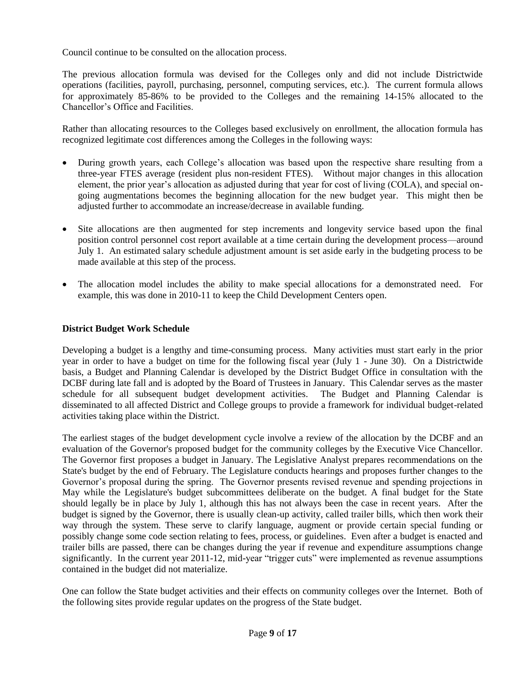Council continue to be consulted on the allocation process.

The previous allocation formula was devised for the Colleges only and did not include Districtwide operations (facilities, payroll, purchasing, personnel, computing services, etc.). The current formula allows for approximately 85-86% to be provided to the Colleges and the remaining 14-15% allocated to the Chancellor's Office and Facilities.

Rather than allocating resources to the Colleges based exclusively on enrollment, the allocation formula has recognized legitimate cost differences among the Colleges in the following ways:

- During growth years, each College's allocation was based upon the respective share resulting from a three-year FTES average (resident plus non-resident FTES). Without major changes in this allocation element, the prior year's allocation as adjusted during that year for cost of living (COLA), and special ongoing augmentations becomes the beginning allocation for the new budget year. This might then be adjusted further to accommodate an increase/decrease in available funding.
- Site allocations are then augmented for step increments and longevity service based upon the final position control personnel cost report available at a time certain during the development process—around July 1. An estimated salary schedule adjustment amount is set aside early in the budgeting process to be made available at this step of the process.
- The allocation model includes the ability to make special allocations for a demonstrated need. For example, this was done in 2010-11 to keep the Child Development Centers open.

# **District Budget Work Schedule**

Developing a budget is a lengthy and time-consuming process. Many activities must start early in the prior year in order to have a budget on time for the following fiscal year (July 1 - June 30). On a Districtwide basis, a Budget and Planning Calendar is developed by the District Budget Office in consultation with the DCBF during late fall and is adopted by the Board of Trustees in January. This Calendar serves as the master schedule for all subsequent budget development activities. The Budget and Planning Calendar is disseminated to all affected District and College groups to provide a framework for individual budget-related activities taking place within the District.

The earliest stages of the budget development cycle involve a review of the allocation by the DCBF and an evaluation of the Governor's proposed budget for the community colleges by the Executive Vice Chancellor. The Governor first proposes a budget in January. The Legislative Analyst prepares recommendations on the State's budget by the end of February. The Legislature conducts hearings and proposes further changes to the Governor's proposal during the spring. The Governor presents revised revenue and spending projections in May while the Legislature's budget subcommittees deliberate on the budget. A final budget for the State should legally be in place by July 1, although this has not always been the case in recent years. After the budget is signed by the Governor, there is usually clean-up activity, called trailer bills, which then work their way through the system. These serve to clarify language, augment or provide certain special funding or possibly change some code section relating to fees, process, or guidelines. Even after a budget is enacted and trailer bills are passed, there can be changes during the year if revenue and expenditure assumptions change significantly. In the current year 2011-12, mid-year "trigger cuts" were implemented as revenue assumptions contained in the budget did not materialize.

One can follow the State budget activities and their effects on community colleges over the Internet. Both of the following sites provide regular updates on the progress of the State budget.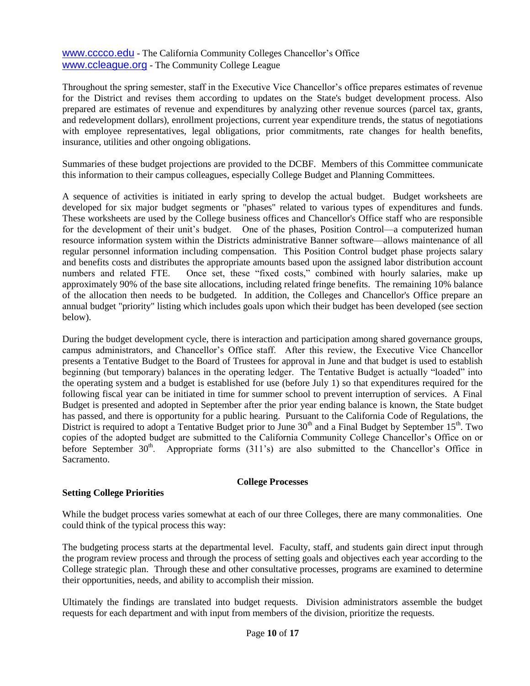[www.cccco.edu](http://www.cccco.edu/) - The California Community Colleges Chancellor's Office [www.ccleague.org](http://www.ccleague.org/) - The Community College League

Throughout the spring semester, staff in the Executive Vice Chancellor's office prepares estimates of revenue for the District and revises them according to updates on the State's budget development process. Also prepared are estimates of revenue and expenditures by analyzing other revenue sources (parcel tax, grants, and redevelopment dollars), enrollment projections, current year expenditure trends, the status of negotiations with employee representatives, legal obligations, prior commitments, rate changes for health benefits, insurance, utilities and other ongoing obligations.

Summaries of these budget projections are provided to the DCBF. Members of this Committee communicate this information to their campus colleagues, especially College Budget and Planning Committees.

A sequence of activities is initiated in early spring to develop the actual budget. Budget worksheets are developed for six major budget segments or "phases" related to various types of expenditures and funds. These worksheets are used by the College business offices and Chancellor's Office staff who are responsible for the development of their unit's budget. One of the phases, Position Control—a computerized human resource information system within the Districts administrative Banner software—allows maintenance of all regular personnel information including compensation. This Position Control budget phase projects salary and benefits costs and distributes the appropriate amounts based upon the assigned labor distribution account numbers and related FTE. Once set, these "fixed costs," combined with hourly salaries, make up approximately 90% of the base site allocations, including related fringe benefits. The remaining 10% balance of the allocation then needs to be budgeted. In addition, the Colleges and Chancellor's Office prepare an annual budget "priority" listing which includes goals upon which their budget has been developed (see section below).

During the budget development cycle, there is interaction and participation among shared governance groups, campus administrators, and Chancellor's Office staff. After this review, the Executive Vice Chancellor presents a Tentative Budget to the Board of Trustees for approval in June and that budget is used to establish beginning (but temporary) balances in the operating ledger. The Tentative Budget is actually "loaded" into the operating system and a budget is established for use (before July 1) so that expenditures required for the following fiscal year can be initiated in time for summer school to prevent interruption of services. A Final Budget is presented and adopted in September after the prior year ending balance is known, the State budget has passed, and there is opportunity for a public hearing. Pursuant to the California Code of Regulations, the District is required to adopt a Tentative Budget prior to June  $30<sup>th</sup>$  and a Final Budget by September  $15<sup>th</sup>$ . Two copies of the adopted budget are submitted to the California Community College Chancellor's Office on or before September  $30<sup>th</sup>$ . Appropriate forms (311's) are also submitted to the Chancellor's Office in Sacramento.

### **College Processes**

### **Setting College Priorities**

While the budget process varies somewhat at each of our three Colleges, there are many commonalities. One could think of the typical process this way:

The budgeting process starts at the departmental level. Faculty, staff, and students gain direct input through the program review process and through the process of setting goals and objectives each year according to the College strategic plan. Through these and other consultative processes, programs are examined to determine their opportunities, needs, and ability to accomplish their mission.

Ultimately the findings are translated into budget requests. Division administrators assemble the budget requests for each department and with input from members of the division, prioritize the requests.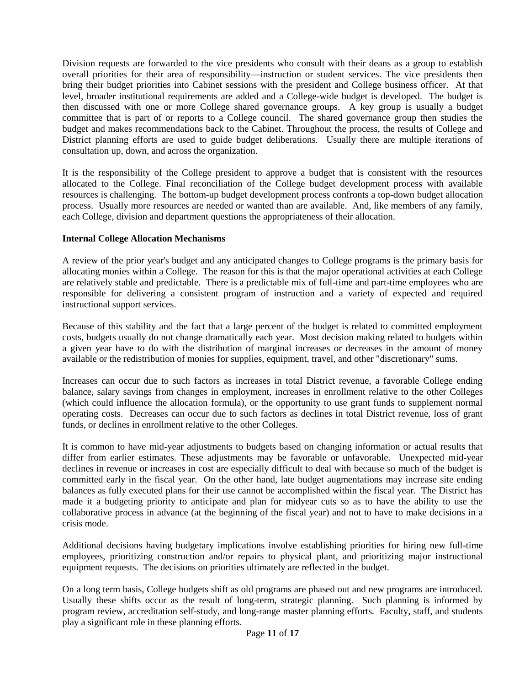Division requests are forwarded to the vice presidents who consult with their deans as a group to establish overall priorities for their area of responsibility—instruction or student services. The vice presidents then bring their budget priorities into Cabinet sessions with the president and College business officer. At that level, broader institutional requirements are added and a College-wide budget is developed. The budget is then discussed with one or more College shared governance groups. A key group is usually a budget committee that is part of or reports to a College council. The shared governance group then studies the budget and makes recommendations back to the Cabinet. Throughout the process, the results of College and District planning efforts are used to guide budget deliberations. Usually there are multiple iterations of consultation up, down, and across the organization.

It is the responsibility of the College president to approve a budget that is consistent with the resources allocated to the College. Final reconciliation of the College budget development process with available resources is challenging. The bottom-up budget development process confronts a top-down budget allocation process. Usually more resources are needed or wanted than are available. And, like members of any family, each College, division and department questions the appropriateness of their allocation.

### **Internal College Allocation Mechanisms**

A review of the prior year's budget and any anticipated changes to College programs is the primary basis for allocating monies within a College. The reason for this is that the major operational activities at each College are relatively stable and predictable. There is a predictable mix of full-time and part-time employees who are responsible for delivering a consistent program of instruction and a variety of expected and required instructional support services.

Because of this stability and the fact that a large percent of the budget is related to committed employment costs, budgets usually do not change dramatically each year. Most decision making related to budgets within a given year have to do with the distribution of marginal increases or decreases in the amount of money available or the redistribution of monies for supplies, equipment, travel, and other "discretionary" sums.

Increases can occur due to such factors as increases in total District revenue, a favorable College ending balance, salary savings from changes in employment, increases in enrollment relative to the other Colleges (which could influence the allocation formula), or the opportunity to use grant funds to supplement normal operating costs. Decreases can occur due to such factors as declines in total District revenue, loss of grant funds, or declines in enrollment relative to the other Colleges.

It is common to have mid-year adjustments to budgets based on changing information or actual results that differ from earlier estimates. These adjustments may be favorable or unfavorable. Unexpected mid-year declines in revenue or increases in cost are especially difficult to deal with because so much of the budget is committed early in the fiscal year. On the other hand, late budget augmentations may increase site ending balances as fully executed plans for their use cannot be accomplished within the fiscal year. The District has made it a budgeting priority to anticipate and plan for midyear cuts so as to have the ability to use the collaborative process in advance (at the beginning of the fiscal year) and not to have to make decisions in a crisis mode.

Additional decisions having budgetary implications involve establishing priorities for hiring new full-time employees, prioritizing construction and/or repairs to physical plant, and prioritizing major instructional equipment requests. The decisions on priorities ultimately are reflected in the budget.

On a long term basis, College budgets shift as old programs are phased out and new programs are introduced. Usually these shifts occur as the result of long-term, strategic planning. Such planning is informed by program review, accreditation self-study, and long-range master planning efforts. Faculty, staff, and students play a significant role in these planning efforts.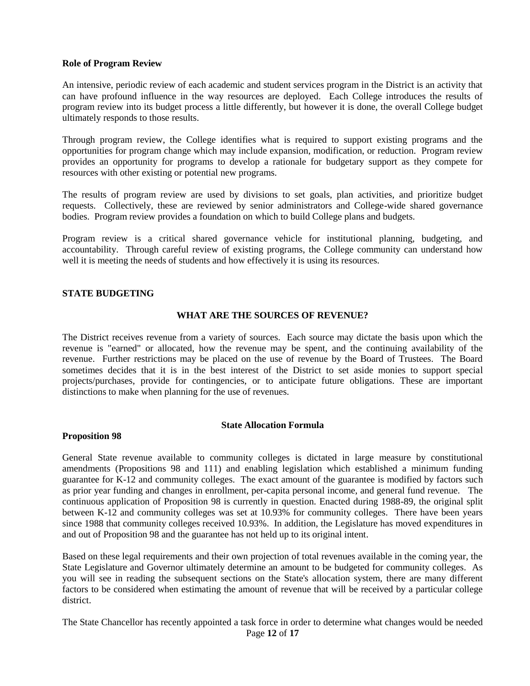#### **Role of Program Review**

An intensive, periodic review of each academic and student services program in the District is an activity that can have profound influence in the way resources are deployed. Each College introduces the results of program review into its budget process a little differently, but however it is done, the overall College budget ultimately responds to those results.

Through program review, the College identifies what is required to support existing programs and the opportunities for program change which may include expansion, modification, or reduction. Program review provides an opportunity for programs to develop a rationale for budgetary support as they compete for resources with other existing or potential new programs.

The results of program review are used by divisions to set goals, plan activities, and prioritize budget requests. Collectively, these are reviewed by senior administrators and College-wide shared governance bodies. Program review provides a foundation on which to build College plans and budgets.

Program review is a critical shared governance vehicle for institutional planning, budgeting, and accountability. Through careful review of existing programs, the College community can understand how well it is meeting the needs of students and how effectively it is using its resources.

#### **STATE BUDGETING**

#### **WHAT ARE THE SOURCES OF REVENUE?**

The District receives revenue from a variety of sources. Each source may dictate the basis upon which the revenue is "earned" or allocated, how the revenue may be spent, and the continuing availability of the revenue. Further restrictions may be placed on the use of revenue by the Board of Trustees. The Board sometimes decides that it is in the best interest of the District to set aside monies to support special projects/purchases, provide for contingencies, or to anticipate future obligations. These are important distinctions to make when planning for the use of revenues.

#### **State Allocation Formula**

#### **Proposition 98**

General State revenue available to community colleges is dictated in large measure by constitutional amendments (Propositions 98 and 111) and enabling legislation which established a minimum funding guarantee for K-12 and community colleges. The exact amount of the guarantee is modified by factors such as prior year funding and changes in enrollment, per-capita personal income, and general fund revenue. The continuous application of Proposition 98 is currently in question. Enacted during 1988-89, the original split between K-12 and community colleges was set at 10.93% for community colleges. There have been years since 1988 that community colleges received 10.93%. In addition, the Legislature has moved expenditures in and out of Proposition 98 and the guarantee has not held up to its original intent.

Based on these legal requirements and their own projection of total revenues available in the coming year, the State Legislature and Governor ultimately determine an amount to be budgeted for community colleges. As you will see in reading the subsequent sections on the State's allocation system, there are many different factors to be considered when estimating the amount of revenue that will be received by a particular college district.

The State Chancellor has recently appointed a task force in order to determine what changes would be needed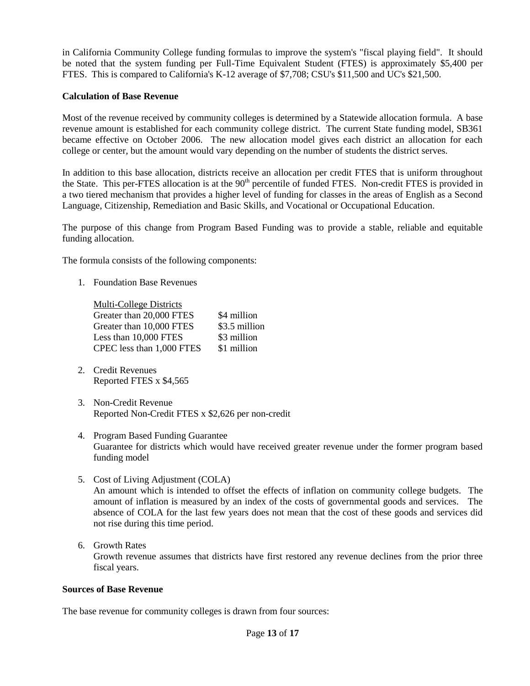in California Community College funding formulas to improve the system's "fiscal playing field". It should be noted that the system funding per Full-Time Equivalent Student (FTES) is approximately \$5,400 per FTES. This is compared to California's K-12 average of \$7,708; CSU's \$11,500 and UC's \$21,500.

### **Calculation of Base Revenue**

Most of the revenue received by community colleges is determined by a Statewide allocation formula. A base revenue amount is established for each community college district. The current State funding model, SB361 became effective on October 2006. The new allocation model gives each district an allocation for each college or center, but the amount would vary depending on the number of students the district serves.

In addition to this base allocation, districts receive an allocation per credit FTES that is uniform throughout the State. This per-FTES allocation is at the 90<sup>th</sup> percentile of funded FTES. Non-credit FTES is provided in a two tiered mechanism that provides a higher level of funding for classes in the areas of English as a Second Language, Citizenship, Remediation and Basic Skills, and Vocational or Occupational Education.

The purpose of this change from Program Based Funding was to provide a stable, reliable and equitable funding allocation.

The formula consists of the following components:

1. Foundation Base Revenues

| Multi-College Districts   |               |
|---------------------------|---------------|
| Greater than 20,000 FTES  | \$4 million   |
| Greater than 10,000 FTES  | \$3.5 million |
| Less than 10,000 FTES     | \$3 million   |
| CPEC less than 1,000 FTES | \$1 million   |

- 2. Credit Revenues Reported FTES x \$4,565
- 3. Non-Credit Revenue Reported Non-Credit FTES x \$2,626 per non-credit
- 4. Program Based Funding Guarantee Guarantee for districts which would have received greater revenue under the former program based funding model
- 5. Cost of Living Adjustment (COLA) An amount which is intended to offset the effects of inflation on community college budgets. The amount of inflation is measured by an index of the costs of governmental goods and services. The absence of COLA for the last few years does not mean that the cost of these goods and services did not rise during this time period.
- 6. Growth Rates Growth revenue assumes that districts have first restored any revenue declines from the prior three fiscal years.

### **Sources of Base Revenue**

The base revenue for community colleges is drawn from four sources: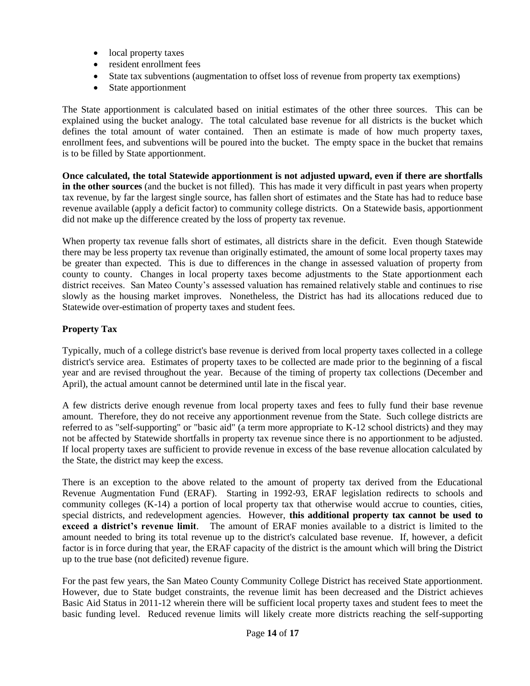- local property taxes
- resident enrollment fees
- State tax subventions (augmentation to offset loss of revenue from property tax exemptions)
- State apportionment

The State apportionment is calculated based on initial estimates of the other three sources. This can be explained using the bucket analogy. The total calculated base revenue for all districts is the bucket which defines the total amount of water contained. Then an estimate is made of how much property taxes, enrollment fees, and subventions will be poured into the bucket. The empty space in the bucket that remains is to be filled by State apportionment.

**Once calculated, the total Statewide apportionment is not adjusted upward, even if there are shortfalls in the other sources** (and the bucket is not filled). This has made it very difficult in past years when property tax revenue, by far the largest single source, has fallen short of estimates and the State has had to reduce base revenue available (apply a deficit factor) to community college districts. On a Statewide basis, apportionment did not make up the difference created by the loss of property tax revenue.

When property tax revenue falls short of estimates, all districts share in the deficit. Even though Statewide there may be less property tax revenue than originally estimated, the amount of some local property taxes may be greater than expected. This is due to differences in the change in assessed valuation of property from county to county. Changes in local property taxes become adjustments to the State apportionment each district receives. San Mateo County's assessed valuation has remained relatively stable and continues to rise slowly as the housing market improves. Nonetheless, the District has had its allocations reduced due to Statewide over-estimation of property taxes and student fees.

# **Property Tax**

Typically, much of a college district's base revenue is derived from local property taxes collected in a college district's service area. Estimates of property taxes to be collected are made prior to the beginning of a fiscal year and are revised throughout the year. Because of the timing of property tax collections (December and April), the actual amount cannot be determined until late in the fiscal year.

A few districts derive enough revenue from local property taxes and fees to fully fund their base revenue amount. Therefore, they do not receive any apportionment revenue from the State. Such college districts are referred to as "self-supporting" or "basic aid" (a term more appropriate to K-12 school districts) and they may not be affected by Statewide shortfalls in property tax revenue since there is no apportionment to be adjusted. If local property taxes are sufficient to provide revenue in excess of the base revenue allocation calculated by the State, the district may keep the excess.

There is an exception to the above related to the amount of property tax derived from the Educational Revenue Augmentation Fund (ERAF). Starting in 1992-93, ERAF legislation redirects to schools and community colleges (K-14) a portion of local property tax that otherwise would accrue to counties, cities, special districts, and redevelopment agencies. However, **this additional property tax cannot be used to exceed a district's revenue limit**. The amount of ERAF monies available to a district is limited to the amount needed to bring its total revenue up to the district's calculated base revenue. If, however, a deficit factor is in force during that year, the ERAF capacity of the district is the amount which will bring the District up to the true base (not deficited) revenue figure.

For the past few years, the San Mateo County Community College District has received State apportionment. However, due to State budget constraints, the revenue limit has been decreased and the District achieves Basic Aid Status in 2011-12 wherein there will be sufficient local property taxes and student fees to meet the basic funding level. Reduced revenue limits will likely create more districts reaching the self-supporting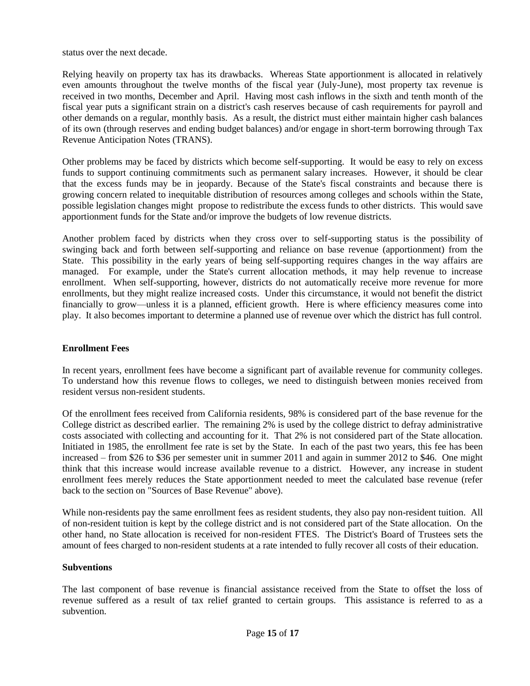status over the next decade.

Relying heavily on property tax has its drawbacks. Whereas State apportionment is allocated in relatively even amounts throughout the twelve months of the fiscal year (July-June), most property tax revenue is received in two months, December and April. Having most cash inflows in the sixth and tenth month of the fiscal year puts a significant strain on a district's cash reserves because of cash requirements for payroll and other demands on a regular, monthly basis. As a result, the district must either maintain higher cash balances of its own (through reserves and ending budget balances) and/or engage in short-term borrowing through Tax Revenue Anticipation Notes (TRANS).

Other problems may be faced by districts which become self-supporting. It would be easy to rely on excess funds to support continuing commitments such as permanent salary increases. However, it should be clear that the excess funds may be in jeopardy. Because of the State's fiscal constraints and because there is growing concern related to inequitable distribution of resources among colleges and schools within the State, possible legislation changes might propose to redistribute the excess funds to other districts. This would save apportionment funds for the State and/or improve the budgets of low revenue districts.

Another problem faced by districts when they cross over to self-supporting status is the possibility of swinging back and forth between self-supporting and reliance on base revenue (apportionment) from the State. This possibility in the early years of being self-supporting requires changes in the way affairs are managed. For example, under the State's current allocation methods, it may help revenue to increase enrollment. When self-supporting, however, districts do not automatically receive more revenue for more enrollments, but they might realize increased costs. Under this circumstance, it would not benefit the district financially to grow—unless it is a planned, efficient growth. Here is where efficiency measures come into play. It also becomes important to determine a planned use of revenue over which the district has full control.

# **Enrollment Fees**

In recent years, enrollment fees have become a significant part of available revenue for community colleges. To understand how this revenue flows to colleges, we need to distinguish between monies received from resident versus non-resident students.

Of the enrollment fees received from California residents, 98% is considered part of the base revenue for the College district as described earlier. The remaining 2% is used by the college district to defray administrative costs associated with collecting and accounting for it. That 2% is not considered part of the State allocation. Initiated in 1985, the enrollment fee rate is set by the State. In each of the past two years, this fee has been increased – from \$26 to \$36 per semester unit in summer 2011 and again in summer 2012 to \$46. One might think that this increase would increase available revenue to a district. However, any increase in student enrollment fees merely reduces the State apportionment needed to meet the calculated base revenue (refer back to the section on "Sources of Base Revenue" above).

While non-residents pay the same enrollment fees as resident students, they also pay non-resident tuition. All of non-resident tuition is kept by the college district and is not considered part of the State allocation. On the other hand, no State allocation is received for non-resident FTES. The District's Board of Trustees sets the amount of fees charged to non-resident students at a rate intended to fully recover all costs of their education.

### **Subventions**

The last component of base revenue is financial assistance received from the State to offset the loss of revenue suffered as a result of tax relief granted to certain groups. This assistance is referred to as a subvention.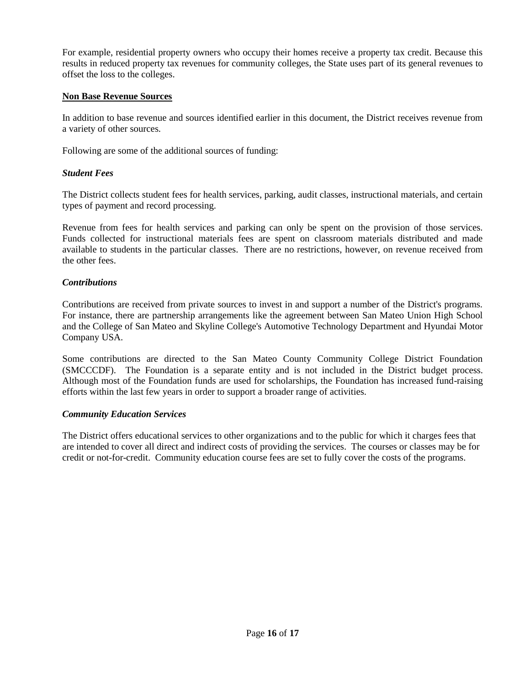For example, residential property owners who occupy their homes receive a property tax credit. Because this results in reduced property tax revenues for community colleges, the State uses part of its general revenues to offset the loss to the colleges.

### **Non Base Revenue Sources**

In addition to base revenue and sources identified earlier in this document, the District receives revenue from a variety of other sources.

Following are some of the additional sources of funding:

### *Student Fees*

The District collects student fees for health services, parking, audit classes, instructional materials, and certain types of payment and record processing.

Revenue from fees for health services and parking can only be spent on the provision of those services. Funds collected for instructional materials fees are spent on classroom materials distributed and made available to students in the particular classes. There are no restrictions, however, on revenue received from the other fees.

### *Contributions*

Contributions are received from private sources to invest in and support a number of the District's programs. For instance, there are partnership arrangements like the agreement between San Mateo Union High School and the College of San Mateo and Skyline College's Automotive Technology Department and Hyundai Motor Company USA.

Some contributions are directed to the San Mateo County Community College District Foundation (SMCCCDF). The Foundation is a separate entity and is not included in the District budget process. Although most of the Foundation funds are used for scholarships, the Foundation has increased fund-raising efforts within the last few years in order to support a broader range of activities.

### *Community Education Services*

The District offers educational services to other organizations and to the public for which it charges fees that are intended to cover all direct and indirect costs of providing the services. The courses or classes may be for credit or not-for-credit. Community education course fees are set to fully cover the costs of the programs.